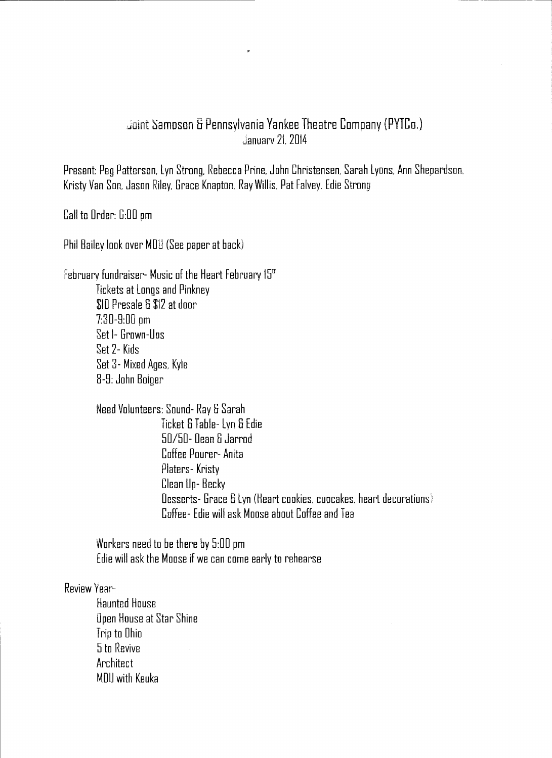## Joint Sampson & Pennsylvania Yankee Theatre Company (PYTCo.) Januarv 2L 2014

Present: Peg Patterson, Lyn Strong, Rebecca Prine, John Christensen, Sarah Lyons, Ann Shepardson. Kristy Van Son. Jason Riley, Grace Knapton, Ray Willis, Pat Falvey, Edie Strong

Call to Order: 6:00 pm

Phil Bailey look over MOU (See paper at back)

February fundraiser- Music of the Heart February 15th Tickets at Longs and Pinkney \$ID Presale S \$12 at door 7:30-8:00 pm Set I- Grown-Uos Set 2- Kids Set 3- Mixed Ages, Kyle 8-8: John Bolger

| Need Volunteers: Sound- Ray & Sarah                                |
|--------------------------------------------------------------------|
| Ticket & Table- Lyn & Edie                                         |
| 50/50- Dean & Jarrod                                               |
| Coffee Pourer- Anita                                               |
| Platers-Kristy                                                     |
| Clean Up-Becky                                                     |
| Oesserts- Grace & Lyn (Heart cookies, cupcakes, heart decorations) |
| Coffee- Edie will ask Moose about Coffee and Tea                   |

Workers need to be there by 5:00 pm Edie will ask the Moose if we can come early to rehearse

## Review Year-

Haunted House Open House at Star Shine Trip to Ohio 5 to Revive **Architect** MDU with Keuka